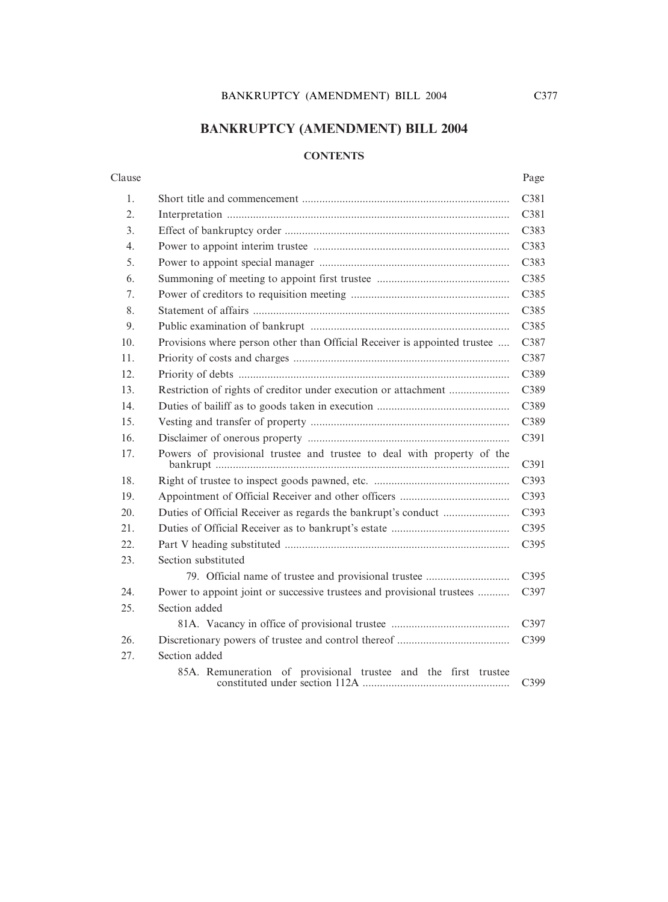# **BANKRUPTCY (AMENDMENT) BILL 2004**

# **CONTENTS**

| Clause | Page |
|--------|------|
|--------|------|

| 1.               |                                                                           | C381 |
|------------------|---------------------------------------------------------------------------|------|
| 2.               |                                                                           | C381 |
| 3.               |                                                                           | C383 |
| $\overline{4}$ . |                                                                           | C383 |
| 5.               |                                                                           | C383 |
| 6.               |                                                                           | C385 |
| 7.               |                                                                           | C385 |
| 8.               |                                                                           | C385 |
| 9.               |                                                                           | C385 |
| 10.              | Provisions where person other than Official Receiver is appointed trustee | C387 |
| 11.              |                                                                           | C387 |
| 12.              |                                                                           | C389 |
| 13.              |                                                                           | C389 |
| 14.              |                                                                           | C389 |
| 15.              |                                                                           | C389 |
| 16.              |                                                                           | C391 |
| 17.              | Powers of provisional trustee and trustee to deal with property of the    | C391 |
| 18.              |                                                                           | C393 |
| 19.              |                                                                           | C393 |
| 20.              |                                                                           | C393 |
| 21.              |                                                                           | C395 |
| 22.              |                                                                           | C395 |
| 23.              | Section substituted                                                       |      |
|                  | 79. Official name of trustee and provisional trustee                      | C395 |
| 24.              | Power to appoint joint or successive trustees and provisional trustees    | C397 |
| 25.              | Section added                                                             |      |
|                  |                                                                           | C397 |
| 26.              |                                                                           | C399 |
| 27.              | Section added                                                             |      |
|                  | 85A. Remuneration of provisional trustee and the first trustee            | C399 |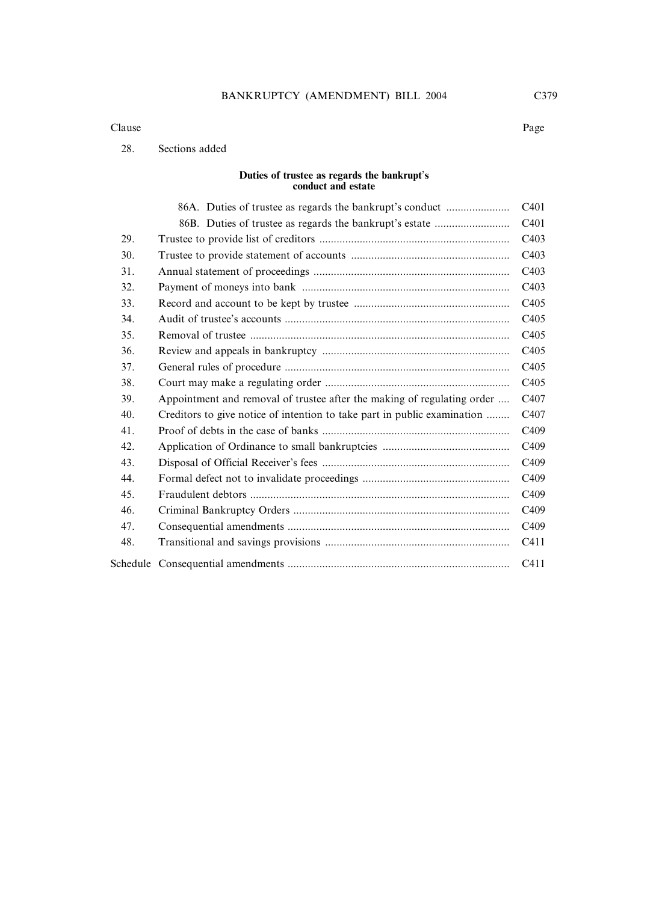#### Clause Page

### 28. Sections added

#### **Duties of trustee as regards the bankrupt**'**s conduct and estate**

|     | 86A. Duties of trustee as regards the bankrupt's conduct                 | C <sub>401</sub> |
|-----|--------------------------------------------------------------------------|------------------|
|     | 86B. Duties of trustee as regards the bankrupt's estate                  | C <sub>401</sub> |
| 29. |                                                                          | C <sub>403</sub> |
| 30. |                                                                          | C <sub>403</sub> |
| 31. |                                                                          | C403             |
| 32. |                                                                          | C <sub>403</sub> |
| 33. |                                                                          | C <sub>405</sub> |
| 34. |                                                                          | C <sub>405</sub> |
| 35. |                                                                          | C <sub>405</sub> |
| 36. |                                                                          | C <sub>405</sub> |
| 37. |                                                                          | C <sub>405</sub> |
| 38. |                                                                          | C <sub>405</sub> |
| 39. | Appointment and removal of trustee after the making of regulating order  | C <sub>407</sub> |
| 40. | Creditors to give notice of intention to take part in public examination | C <sub>407</sub> |
| 41. |                                                                          | C <sub>409</sub> |
| 42. |                                                                          | C <sub>409</sub> |
| 43. |                                                                          | C <sub>409</sub> |
| 44. |                                                                          | C <sub>409</sub> |
| 45. |                                                                          | C <sub>409</sub> |
| 46. |                                                                          | C <sub>409</sub> |
| 47. |                                                                          | C <sub>409</sub> |
| 48. |                                                                          | C411             |
|     |                                                                          | C411             |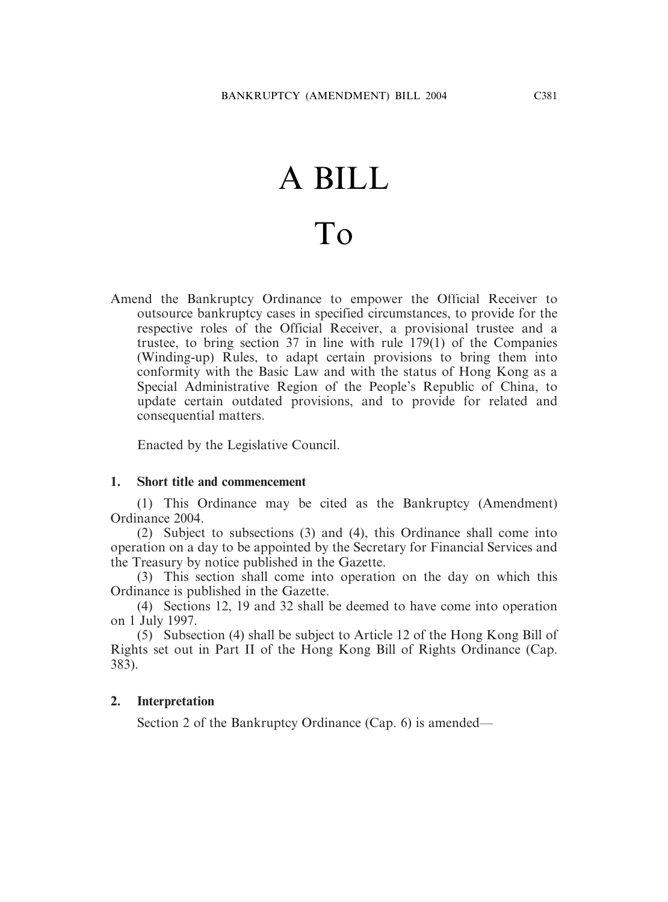# A BILL To

Amend the Bankruptcy Ordinance to empower the Official Receiver to outsource bankruptcy cases in specified circumstances, to provide for the respective roles of the Official Receiver, a provisional trustee and a trustee, to bring section 37 in line with rule 179(1) of the Companies (Winding-up) Rules, to adapt certain provisions to bring them into conformity with the Basic Law and with the status of Hong Kong as a Special Administrative Region of the People's Republic of China, to update certain outdated provisions, and to provide for related and consequential matters.

Enacted by the Legislative Council.

# **1. Short title and commencement**

(1) This Ordinance may be cited as the Bankruptcy (Amendment) Ordinance 2004.

(2) Subject to subsections (3) and (4), this Ordinance shall come into operation on a day to be appointed by the Secretary for Financial Services and the Treasury by notice published in the Gazette.

(3) This section shall come into operation on the day on which this Ordinance is published in the Gazette.

(4) Sections 12, 19 and 32 shall be deemed to have come into operation on 1 July 1997.

(5) Subsection (4) shall be subject to Article 12 of the Hong Kong Bill of Rights set out in Part II of the Hong Kong Bill of Rights Ordinance (Cap. 383).

# **2. Interpretation**

Section 2 of the Bankruptcy Ordinance (Cap. 6) is amended—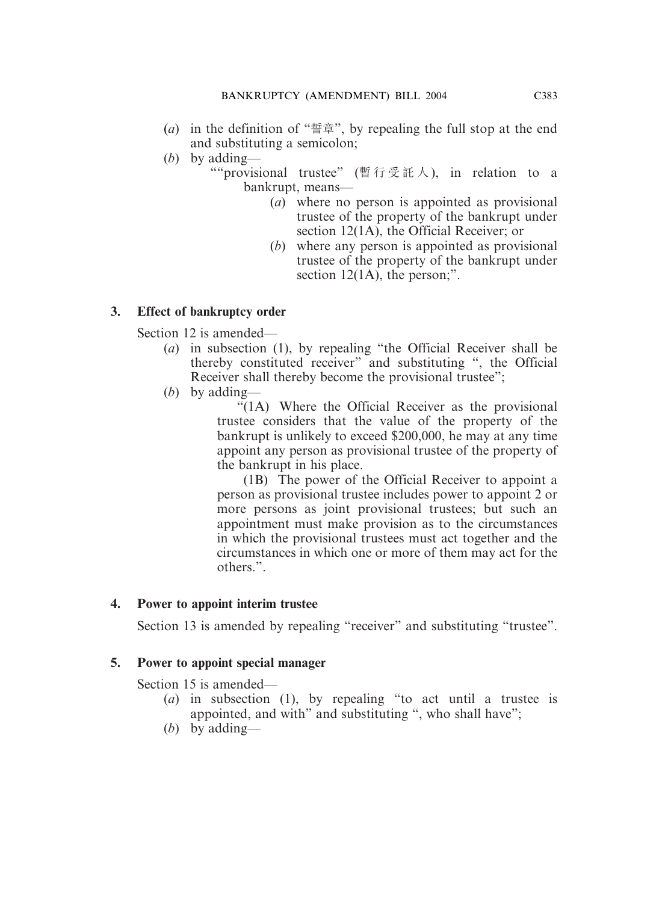- (*a*) in the definition of "誓章", by repealing the full stop at the end and substituting a semicolon;
- (*b*) by adding—

""provisional trustee" (暫行受託人 ), in relation to a bankrupt, means—

- (*a*) where no person is appointed as provisional trustee of the property of the bankrupt under section 12(1A), the Official Receiver; or
- (*b*) where any person is appointed as provisional trustee of the property of the bankrupt under section 12(1A), the person:".

# **3. Effect of bankruptcy order**

Section 12 is amended—

- (*a*) in subsection (1), by repealing "the Official Receiver shall be thereby constituted receiver" and substituting ", the Official Receiver shall thereby become the provisional trustee";
- (*b*) by adding—

"(1A) Where the Official Receiver as the provisional trustee considers that the value of the property of the bankrupt is unlikely to exceed \$200,000, he may at any time appoint any person as provisional trustee of the property of the bankrupt in his place.

(1B) The power of the Official Receiver to appoint a person as provisional trustee includes power to appoint 2 or more persons as joint provisional trustees; but such an appointment must make provision as to the circumstances in which the provisional trustees must act together and the circumstances in which one or more of them may act for the others.".

# **4. Power to appoint interim trustee**

Section 13 is amended by repealing "receiver" and substituting "trustee".

# **5. Power to appoint special manager**

Section 15 is amended—

- (*a*) in subsection (1), by repealing "to act until a trustee is appointed, and with" and substituting ", who shall have";
- (*b*) by adding—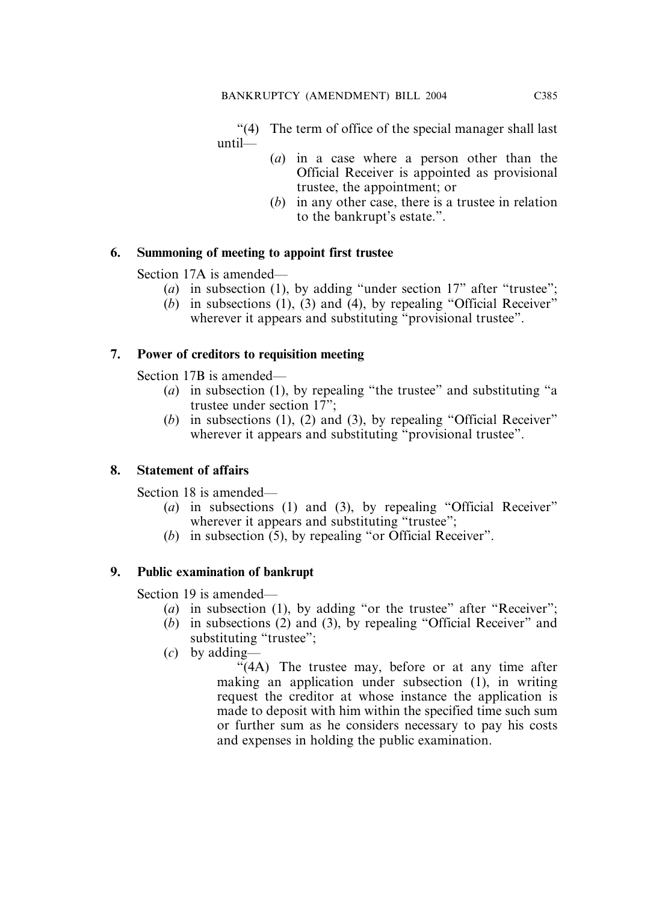"(4) The term of office of the special manager shall last until—

- (*a*) in a case where a person other than the Official Receiver is appointed as provisional trustee, the appointment; or
- (*b*) in any other case, there is a trustee in relation to the bankrupt's estate.".

# **6. Summoning of meeting to appoint first trustee**

Section 17A is amended—

- (*a*) in subsection (1), by adding "under section 17" after "trustee";
- (*b*) in subsections (1), (3) and (4), by repealing "Official Receiver" wherever it appears and substituting "provisional trustee".

# **7. Power of creditors to requisition meeting**

Section 17B is amended—

- (*a*) in subsection (1), by repealing "the trustee" and substituting "a trustee under section 17";
- (*b*) in subsections (1), (2) and (3), by repealing "Official Receiver" wherever it appears and substituting "provisional trustee".

# **8. Statement of affairs**

Section 18 is amended—

- (*a*) in subsections (1) and (3), by repealing "Official Receiver" wherever it appears and substituting "trustee";
- (*b*) in subsection (5), by repealing "or Official Receiver".

# **9. Public examination of bankrupt**

Section 19 is amended—

- (*a*) in subsection (1), by adding "or the trustee" after "Receiver";
- (*b*) in subsections (2) and (3), by repealing "Official Receiver" and substituting "trustee";
- (*c*) by adding—

"(4A) The trustee may, before or at any time after making an application under subsection (1), in writing request the creditor at whose instance the application is made to deposit with him within the specified time such sum or further sum as he considers necessary to pay his costs and expenses in holding the public examination.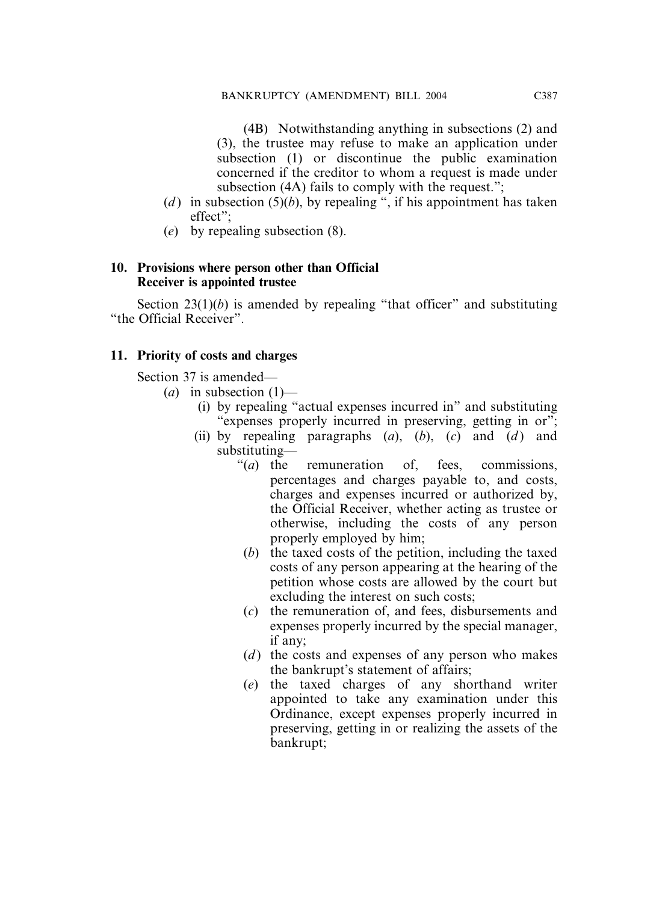(4B) Notwithstanding anything in subsections (2) and (3), the trustee may refuse to make an application under subsection (1) or discontinue the public examination concerned if the creditor to whom a request is made under subsection (4A) fails to comply with the request.";

- (*d*) in subsection (5)(*b*), by repealing ", if his appointment has taken effect";
- (*e*) by repealing subsection (8).

# **10. Provisions where person other than Official Receiver is appointed trustee**

Section  $23(1)(b)$  is amended by repealing "that officer" and substituting "the Official Receiver".

# **11. Priority of costs and charges**

Section 37 is amended—

- $(a)$  in subsection  $(1)$ 
	- (i) by repealing "actual expenses incurred in" and substituting "expenses properly incurred in preserving, getting in or";
	- (ii) by repealing paragraphs  $(a)$ ,  $(b)$ ,  $(c)$  and  $(d)$  and substituting—
		- "(*a*) the remuneration of, fees, commissions, percentages and charges payable to, and costs, charges and expenses incurred or authorized by, the Official Receiver, whether acting as trustee or otherwise, including the costs of any person properly employed by him;
		- (*b*) the taxed costs of the petition, including the taxed costs of any person appearing at the hearing of the petition whose costs are allowed by the court but excluding the interest on such costs;
		- (*c*) the remuneration of, and fees, disbursements and expenses properly incurred by the special manager, if any;
		- (*d*) the costs and expenses of any person who makes the bankrupt's statement of affairs;
		- (*e*) the taxed charges of any shorthand writer appointed to take any examination under this Ordinance, except expenses properly incurred in preserving, getting in or realizing the assets of the bankrupt;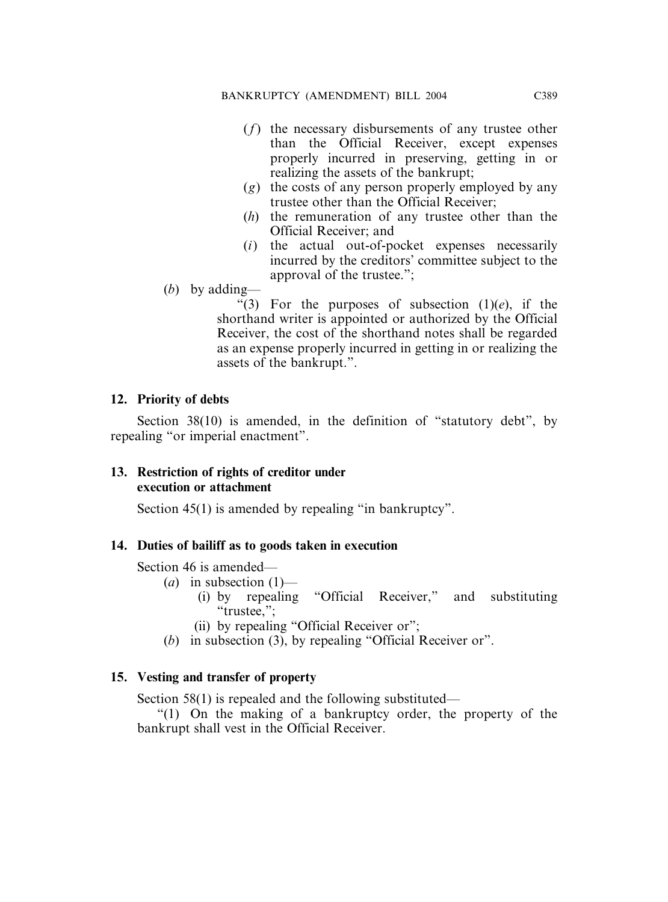- (*f*) the necessary disbursements of any trustee other than the Official Receiver, except expenses properly incurred in preserving, getting in or realizing the assets of the bankrupt;
- (*g*) the costs of any person properly employed by any trustee other than the Official Receiver;
- (*h*) the remuneration of any trustee other than the Official Receiver; and
- (*i*) the actual out-of-pocket expenses necessarily incurred by the creditors' committee subject to the approval of the trustee.";
- (*b*) by adding—

"(3) For the purposes of subsection  $(1)(e)$ , if the shorthand writer is appointed or authorized by the Official Receiver, the cost of the shorthand notes shall be regarded as an expense properly incurred in getting in or realizing the assets of the bankrupt.".

# **12. Priority of debts**

Section 38(10) is amended, in the definition of "statutory debt", by repealing "or imperial enactment".

# **13. Restriction of rights of creditor under execution or attachment**

Section 45(1) is amended by repealing "in bankruptcy".

# **14. Duties of bailiff as to goods taken in execution**

Section 46 is amended—

- $(a)$  in subsection  $(1)$ 
	- (i) by repealing "Official Receiver," and substituting "trustee,";
	- (ii) by repealing "Official Receiver or";
- (*b*) in subsection (3), by repealing "Official Receiver or".

# **15. Vesting and transfer of property**

Section 58(1) is repealed and the following substituted—

"(1) On the making of a bankruptcy order, the property of the bankrupt shall vest in the Official Receiver.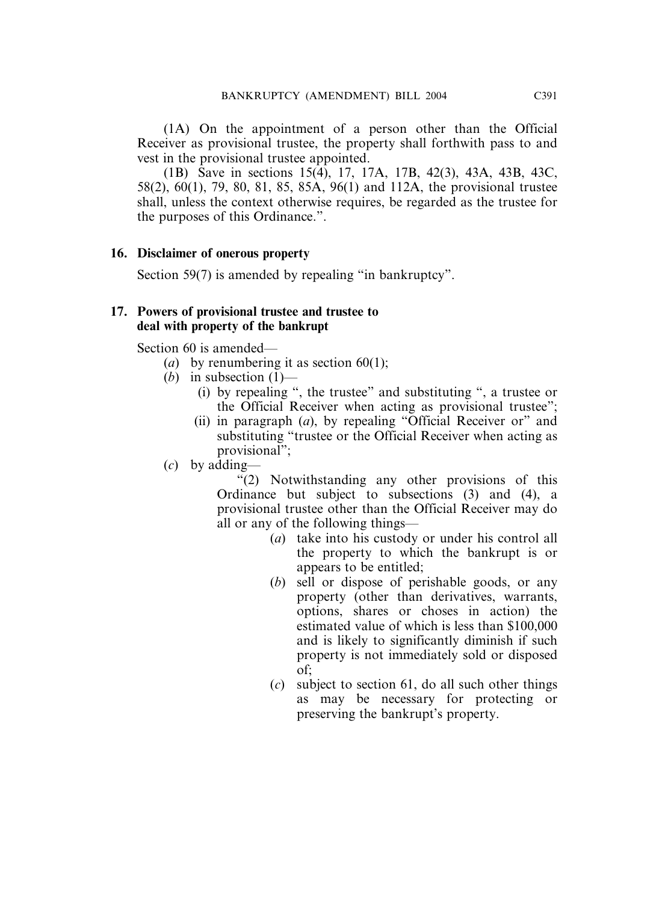(1A) On the appointment of a person other than the Official Receiver as provisional trustee, the property shall forthwith pass to and vest in the provisional trustee appointed.

(1B) Save in sections 15(4), 17, 17A, 17B, 42(3), 43A, 43B, 43C, 58(2), 60(1), 79, 80, 81, 85, 85A, 96(1) and 112A, the provisional trustee shall, unless the context otherwise requires, be regarded as the trustee for the purposes of this Ordinance.".

# **16. Disclaimer of onerous property**

Section 59(7) is amended by repealing "in bankruptcy".

# **17. Powers of provisional trustee and trustee to deal with property of the bankrupt**

Section 60 is amended—

- (*a*) by renumbering it as section  $60(1)$ ;
- (*b*) in subsection  $(1)$ 
	- (i) by repealing ", the trustee" and substituting ", a trustee or the Official Receiver when acting as provisional trustee";
	- (ii) in paragraph (*a*), by repealing "Official Receiver or" and substituting "trustee or the Official Receiver when acting as provisional";
- (*c*) by adding—

"(2) Notwithstanding any other provisions of this Ordinance but subject to subsections (3) and (4), a provisional trustee other than the Official Receiver may do all or any of the following things—

- (*a*) take into his custody or under his control all the property to which the bankrupt is or appears to be entitled;
- (*b*) sell or dispose of perishable goods, or any property (other than derivatives, warrants, options, shares or choses in action) the estimated value of which is less than \$100,000 and is likely to significantly diminish if such property is not immediately sold or disposed of;
- (*c*) subject to section 61, do all such other things as may be necessary for protecting or preserving the bankrupt's property.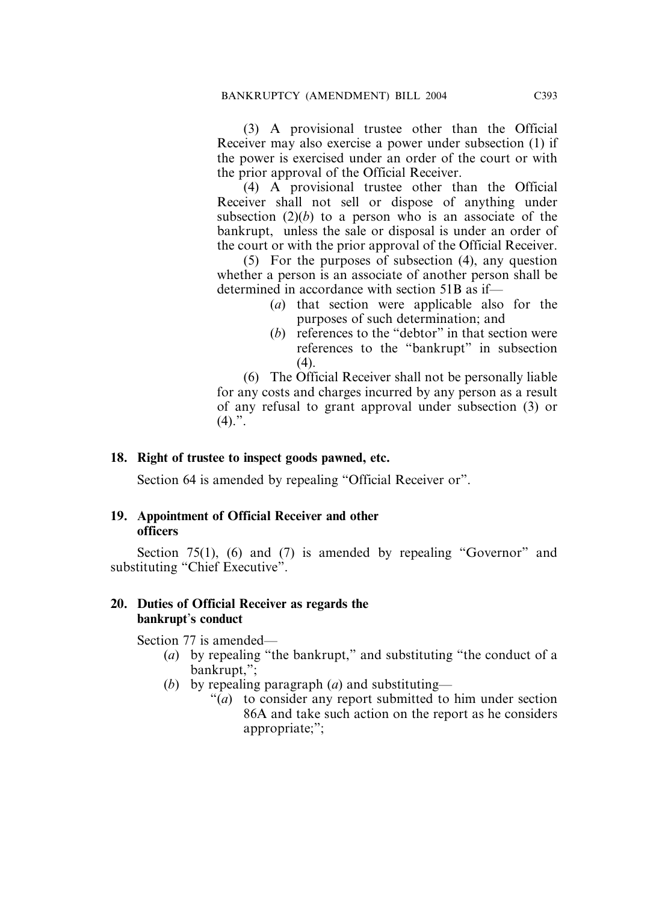(3) A provisional trustee other than the Official Receiver may also exercise a power under subsection (1) if the power is exercised under an order of the court or with the prior approval of the Official Receiver.

(4) A provisional trustee other than the Official Receiver shall not sell or dispose of anything under subsection  $(2)(b)$  to a person who is an associate of the bankrupt, unless the sale or disposal is under an order of the court or with the prior approval of the Official Receiver.

(5) For the purposes of subsection (4), any question whether a person is an associate of another person shall be determined in accordance with section 51B as if—

- (*a*) that section were applicable also for the purposes of such determination; and
- (*b*) references to the "debtor" in that section were references to the "bankrupt" in subsection  $(4)$ .

(6) The Official Receiver shall not be personally liable for any costs and charges incurred by any person as a result of any refusal to grant approval under subsection (3) or  $(4).$ ".

# **18. Right of trustee to inspect goods pawned, etc.**

Section 64 is amended by repealing "Official Receiver or".

## **19. Appointment of Official Receiver and other officers**

Section 75(1), (6) and (7) is amended by repealing "Governor" and substituting "Chief Executive".

# **20. Duties of Official Receiver as regards the bankrupt**'**s conduct**

Section 77 is amended—

- (*a*) by repealing "the bankrupt," and substituting "the conduct of a bankrupt,";
- (*b*) by repealing paragraph (*a*) and substituting—
	- "(*a*) to consider any report submitted to him under section 86A and take such action on the report as he considers appropriate;";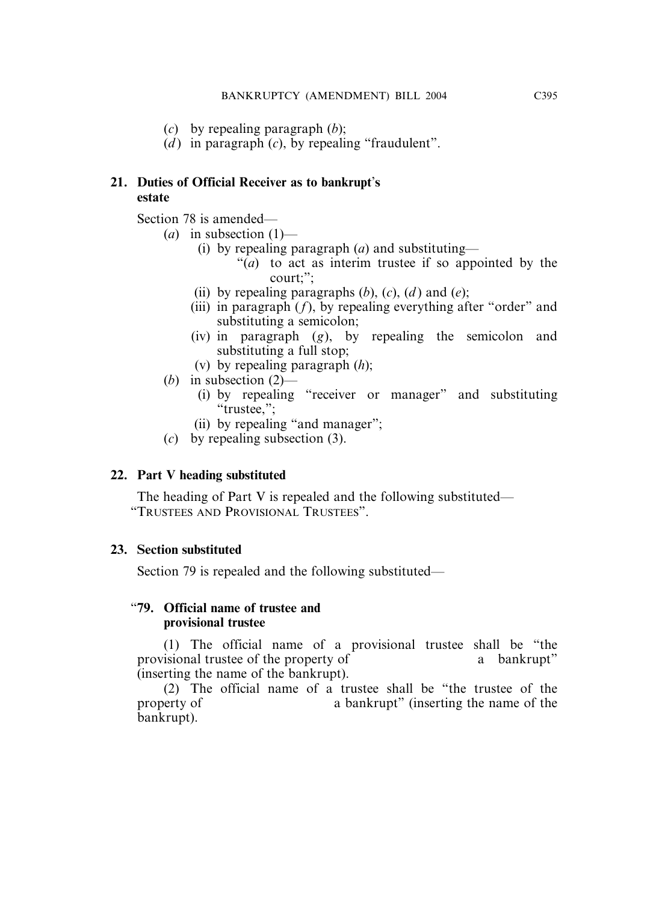- (*c*) by repealing paragraph (*b*);
- (*d*) in paragraph  $(c)$ , by repealing "fraudulent".

# **21. Duties of Official Receiver as to bankrupt**'**s estate**

Section 78 is amended—

- $(a)$  in subsection  $(1)$ 
	- (i) by repealing paragraph (*a*) and substituting—
		- "(*a*) to act as interim trustee if so appointed by the court;";
	- (ii) by repealing paragraphs  $(b)$ ,  $(c)$ ,  $(d)$  and  $(e)$ ;
	- (iii) in paragraph  $(f)$ , by repealing everything after "order" and substituting a semicolon;
	- (iv) in paragraph (*g*), by repealing the semicolon and substituting a full stop;
	- (v) by repealing paragraph (*h*);
- (*b*) in subsection (2)—
	- (i) by repealing "receiver or manager" and substituting "trustee,";
	- (ii) by repealing "and manager";
- (*c*) by repealing subsection (3).

# **22. Part V heading substituted**

The heading of Part V is repealed and the following substituted— "TRUSTEES AND PROVISIONAL TRUSTEES".

# **23. Section substituted**

Section 79 is repealed and the following substituted—

# "**79. Official name of trustee and provisional trustee**

(1) The official name of a provisional trustee shall be "the provisional trustee of the property of a bankrupt" (inserting the name of the bankrupt).

(2) The official name of a trustee shall be "the trustee of the property of a bankrupt" (inserting the name of the bankrupt).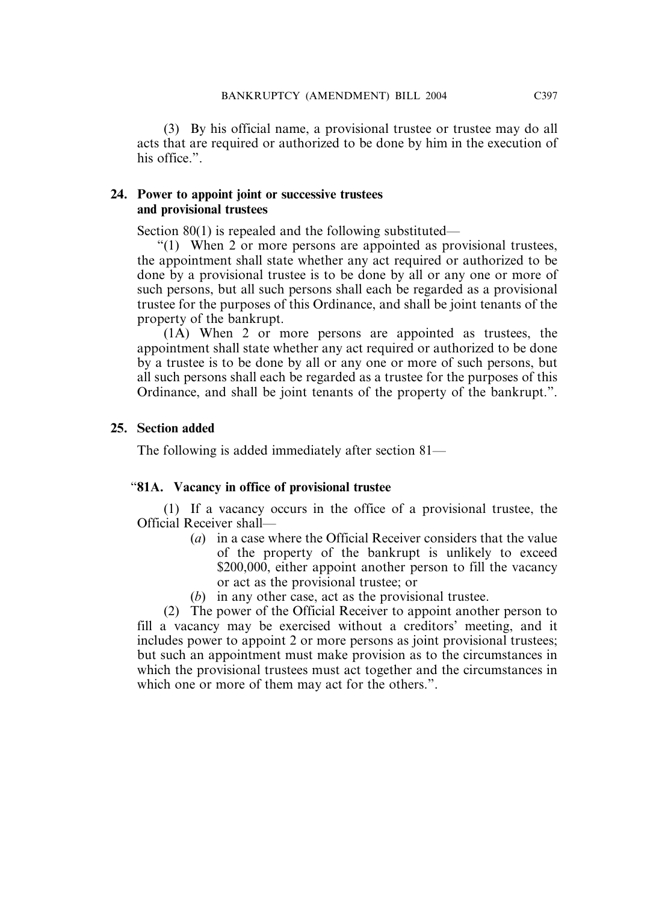(3) By his official name, a provisional trustee or trustee may do all acts that are required or authorized to be done by him in the execution of his office.".

# **24. Power to appoint joint or successive trustees and provisional trustees**

Section 80(1) is repealed and the following substituted—

"(1) When 2 or more persons are appointed as provisional trustees, the appointment shall state whether any act required or authorized to be done by a provisional trustee is to be done by all or any one or more of such persons, but all such persons shall each be regarded as a provisional trustee for the purposes of this Ordinance, and shall be joint tenants of the property of the bankrupt.

(1A) When 2 or more persons are appointed as trustees, the appointment shall state whether any act required or authorized to be done by a trustee is to be done by all or any one or more of such persons, but all such persons shall each be regarded as a trustee for the purposes of this Ordinance, and shall be joint tenants of the property of the bankrupt.".

# **25. Section added**

The following is added immediately after section 81—

# "**81A. Vacancy in office of provisional trustee**

(1) If a vacancy occurs in the office of a provisional trustee, the Official Receiver shall—

- (*a*) in a case where the Official Receiver considers that the value of the property of the bankrupt is unlikely to exceed \$200,000, either appoint another person to fill the vacancy or act as the provisional trustee; or
- (*b*) in any other case, act as the provisional trustee.

(2) The power of the Official Receiver to appoint another person to fill a vacancy may be exercised without a creditors' meeting, and it includes power to appoint 2 or more persons as joint provisional trustees; but such an appointment must make provision as to the circumstances in which the provisional trustees must act together and the circumstances in which one or more of them may act for the others.".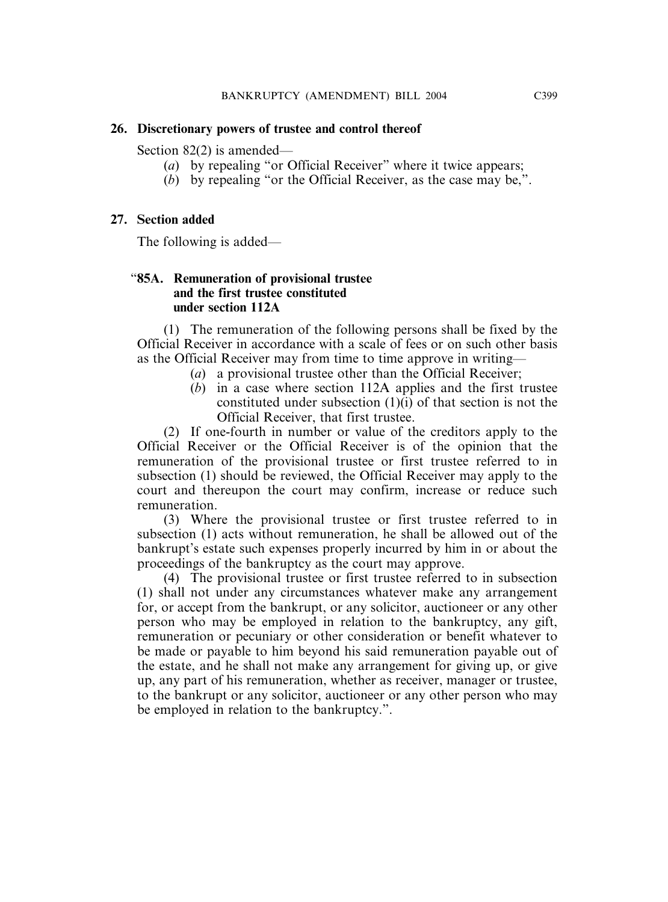# **26. Discretionary powers of trustee and control thereof**

Section 82(2) is amended—

- (*a*) by repealing "or Official Receiver" where it twice appears;
- (*b*) by repealing "or the Official Receiver, as the case may be,".

# **27. Section added**

The following is added—

# "**85A. Remuneration of provisional trustee and the first trustee constituted under section 112A**

(1) The remuneration of the following persons shall be fixed by the Official Receiver in accordance with a scale of fees or on such other basis as the Official Receiver may from time to time approve in writing—

- (*a*) a provisional trustee other than the Official Receiver;
- (*b*) in a case where section 112A applies and the first trustee constituted under subsection (1)(i) of that section is not the Official Receiver, that first trustee.

(2) If one-fourth in number or value of the creditors apply to the Official Receiver or the Official Receiver is of the opinion that the remuneration of the provisional trustee or first trustee referred to in subsection (1) should be reviewed, the Official Receiver may apply to the court and thereupon the court may confirm, increase or reduce such remuneration.

(3) Where the provisional trustee or first trustee referred to in subsection (1) acts without remuneration, he shall be allowed out of the bankrupt's estate such expenses properly incurred by him in or about the proceedings of the bankruptcy as the court may approve.

(4) The provisional trustee or first trustee referred to in subsection (1) shall not under any circumstances whatever make any arrangement for, or accept from the bankrupt, or any solicitor, auctioneer or any other person who may be employed in relation to the bankruptcy, any gift, remuneration or pecuniary or other consideration or benefit whatever to be made or payable to him beyond his said remuneration payable out of the estate, and he shall not make any arrangement for giving up, or give up, any part of his remuneration, whether as receiver, manager or trustee, to the bankrupt or any solicitor, auctioneer or any other person who may be employed in relation to the bankruptcy.".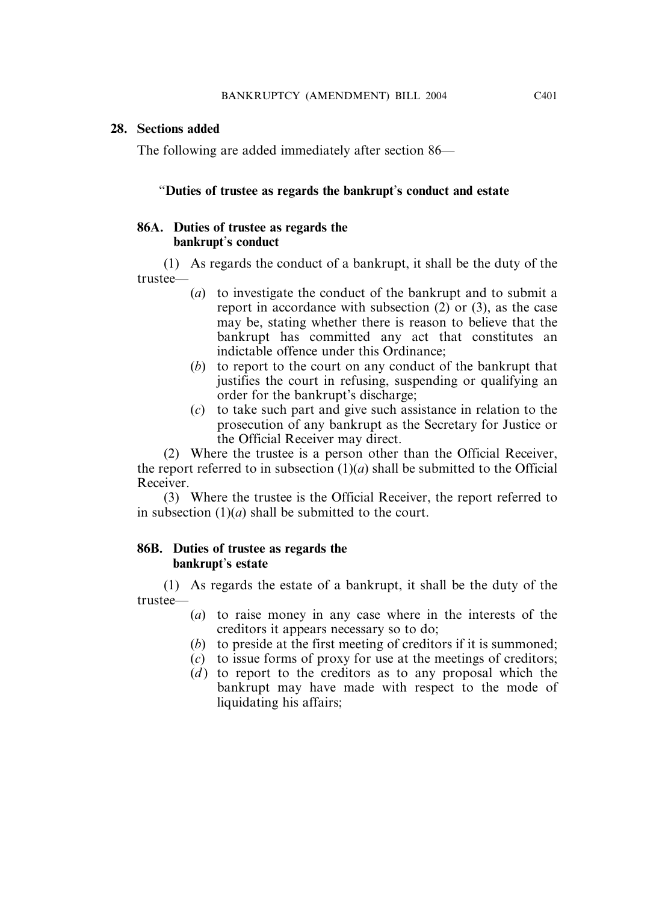## **28. Sections added**

The following are added immediately after section 86—

# "**Duties of trustee as regards the bankrupt**'**s conduct and estate**

# **86A. Duties of trustee as regards the bankrupt**'**s conduct**

(1) As regards the conduct of a bankrupt, it shall be the duty of the trustee—

- (*a*) to investigate the conduct of the bankrupt and to submit a report in accordance with subsection (2) or (3), as the case may be, stating whether there is reason to believe that the bankrupt has committed any act that constitutes an indictable offence under this Ordinance;
- (*b*) to report to the court on any conduct of the bankrupt that justifies the court in refusing, suspending or qualifying an order for the bankrupt's discharge;
- (*c*) to take such part and give such assistance in relation to the prosecution of any bankrupt as the Secretary for Justice or the Official Receiver may direct.

(2) Where the trustee is a person other than the Official Receiver, the report referred to in subsection  $(1)(a)$  shall be submitted to the Official Receiver.

(3) Where the trustee is the Official Receiver, the report referred to in subsection  $(1)(a)$  shall be submitted to the court.

# **86B. Duties of trustee as regards the bankrupt**'**s estate**

(1) As regards the estate of a bankrupt, it shall be the duty of the trustee—

- (*a*) to raise money in any case where in the interests of the creditors it appears necessary so to do;
- (*b*) to preside at the first meeting of creditors if it is summoned;
- (*c*) to issue forms of proxy for use at the meetings of creditors;
- (*d*) to report to the creditors as to any proposal which the bankrupt may have made with respect to the mode of liquidating his affairs;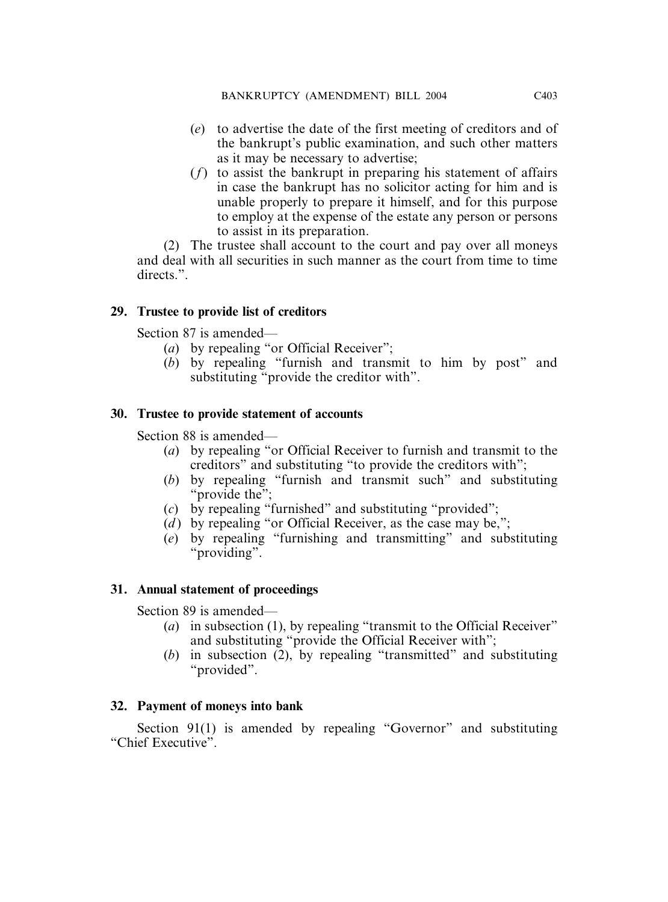- (*e*) to advertise the date of the first meeting of creditors and of the bankrupt's public examination, and such other matters as it may be necessary to advertise;
- (*f*) to assist the bankrupt in preparing his statement of affairs in case the bankrupt has no solicitor acting for him and is unable properly to prepare it himself, and for this purpose to employ at the expense of the estate any person or persons to assist in its preparation.

(2) The trustee shall account to the court and pay over all moneys and deal with all securities in such manner as the court from time to time directs.".

# **29. Trustee to provide list of creditors**

Section 87 is amended—

- (*a*) by repealing "or Official Receiver";
- (*b*) by repealing "furnish and transmit to him by post" and substituting "provide the creditor with".

# **30. Trustee to provide statement of accounts**

Section 88 is amended—

- (*a*) by repealing "or Official Receiver to furnish and transmit to the creditors" and substituting "to provide the creditors with";
- (*b*) by repealing "furnish and transmit such" and substituting "provide the":
- (*c*) by repealing "furnished" and substituting "provided";
- (*d*) by repealing "or Official Receiver, as the case may be,";
- (*e*) by repealing "furnishing and transmitting" and substituting "providing".

# **31. Annual statement of proceedings**

Section 89 is amended—

- (*a*) in subsection (1), by repealing "transmit to the Official Receiver" and substituting "provide the Official Receiver with";
- (*b*) in subsection (2), by repealing "transmitted" and substituting "provided".

# **32. Payment of moneys into bank**

Section 91(1) is amended by repealing "Governor" and substituting "Chief Executive".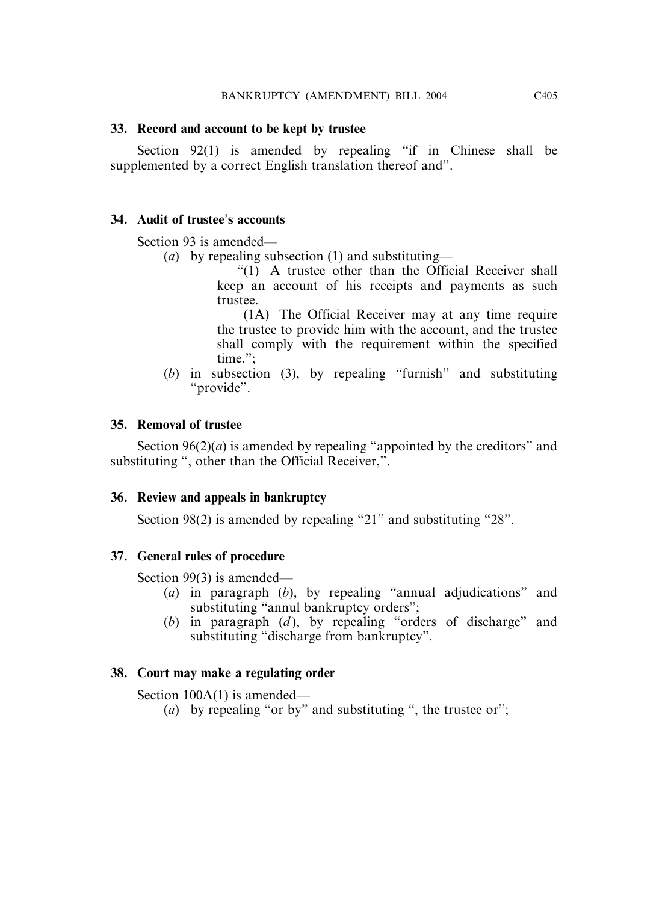# **33. Record and account to be kept by trustee**

Section 92(1) is amended by repealing "if in Chinese shall be supplemented by a correct English translation thereof and".

# **34. Audit of trustee**'**s accounts**

Section 93 is amended—

(*a*) by repealing subsection (1) and substituting—

"(1) A trustee other than the Official Receiver shall keep an account of his receipts and payments as such trustee.

(1A) The Official Receiver may at any time require the trustee to provide him with the account, and the trustee shall comply with the requirement within the specified time.";

(*b*) in subsection (3), by repealing "furnish" and substituting "provide".

# **35. Removal of trustee**

Section  $96(2)(a)$  is amended by repealing "appointed by the creditors" and substituting ", other than the Official Receiver,".

# **36. Review and appeals in bankruptcy**

Section 98(2) is amended by repealing "21" and substituting "28".

# **37. General rules of procedure**

Section 99(3) is amended—

- (*a*) in paragraph (*b*), by repealing "annual adjudications" and substituting "annul bankruptcy orders";
- (*b*) in paragraph (*d* ), by repealing "orders of discharge" and substituting "discharge from bankruptcy".

# **38. Court may make a regulating order**

Section 100A(1) is amended—

(*a*) by repealing "or by" and substituting ", the trustee or";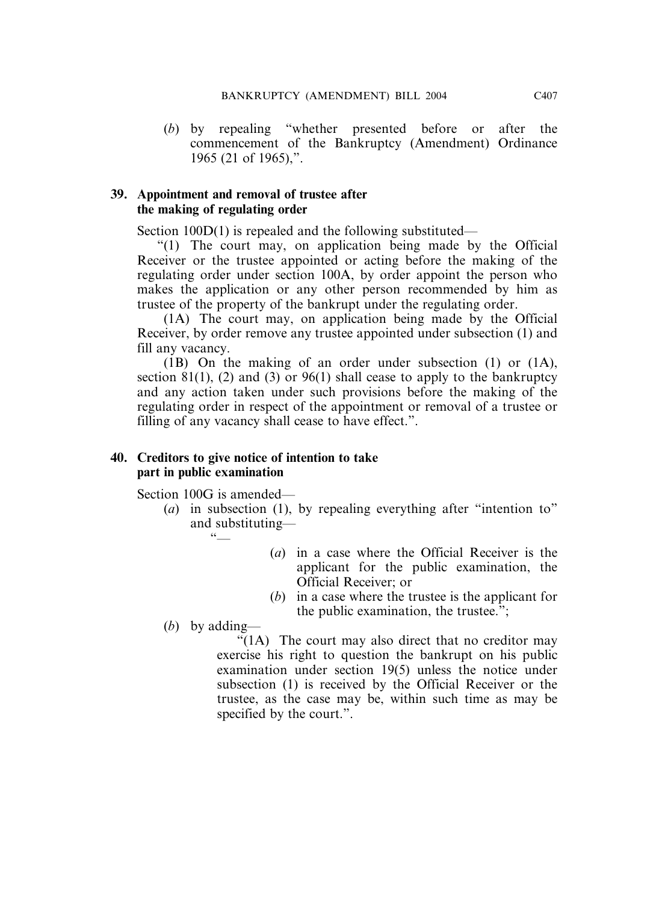(*b*) by repealing "whether presented before or after the commencement of the Bankruptcy (Amendment) Ordinance 1965 (21 of 1965),".

# **39. Appointment and removal of trustee after the making of regulating order**

Section 100D(1) is repealed and the following substituted—

"(1) The court may, on application being made by the Official Receiver or the trustee appointed or acting before the making of the regulating order under section 100A, by order appoint the person who makes the application or any other person recommended by him as trustee of the property of the bankrupt under the regulating order.

(1A) The court may, on application being made by the Official Receiver, by order remove any trustee appointed under subsection (1) and fill any vacancy.

(1B) On the making of an order under subsection (1) or (1A), section 81(1), (2) and (3) or 96(1) shall cease to apply to the bankruptcy and any action taken under such provisions before the making of the regulating order in respect of the appointment or removal of a trustee or filling of any vacancy shall cease to have effect.".

# **40. Creditors to give notice of intention to take part in public examination**

Section 100G is amended—

- (*a*) in subsection (1), by repealing everything after "intention to" and substituting—  $66$ 
	- (*a*) in a case where the Official Receiver is the applicant for the public examination, the Official Receiver; or
	- (*b*) in a case where the trustee is the applicant for the public examination, the trustee.";

(*b*) by adding—

"(1A) The court may also direct that no creditor may exercise his right to question the bankrupt on his public examination under section 19(5) unless the notice under subsection (1) is received by the Official Receiver or the trustee, as the case may be, within such time as may be specified by the court.".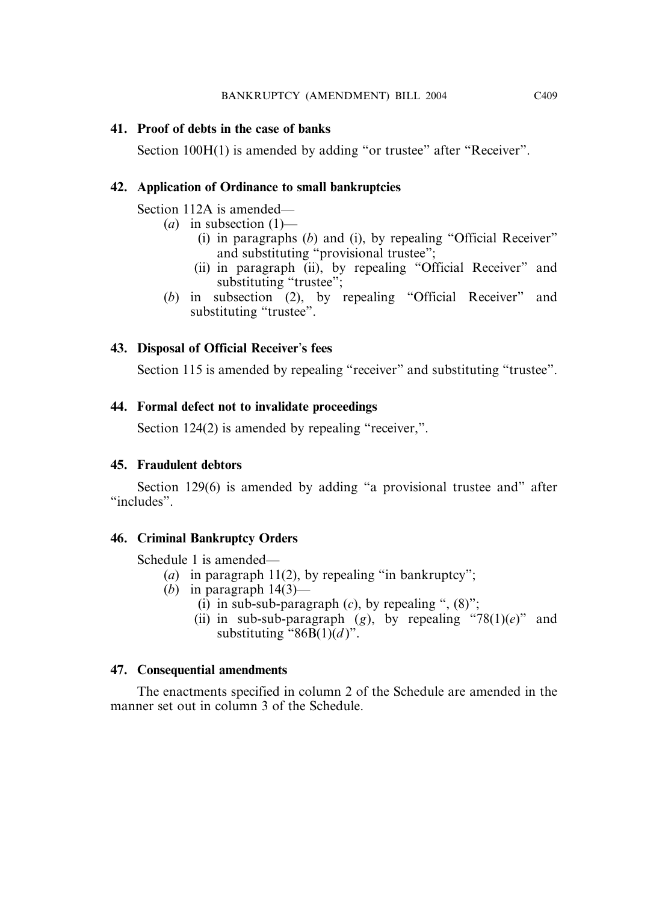# **41. Proof of debts in the case of banks**

Section 100H(1) is amended by adding "or trustee" after "Receiver".

# **42. Application of Ordinance to small bankruptcies**

Section 112A is amended—

- $(a)$  in subsection  $(1)$ 
	- (i) in paragraphs (*b*) and (i), by repealing "Official Receiver" and substituting "provisional trustee";
	- (ii) in paragraph (ii), by repealing "Official Receiver" and substituting "trustee";
- (*b*) in subsection (2), by repealing "Official Receiver" and substituting "trustee".

# **43. Disposal of Official Receiver**'**s fees**

Section 115 is amended by repealing "receiver" and substituting "trustee".

# **44. Formal defect not to invalidate proceedings**

Section 124(2) is amended by repealing "receiver,".

# **45. Fraudulent debtors**

Section 129(6) is amended by adding "a provisional trustee and" after "includes".

# **46. Criminal Bankruptcy Orders**

Schedule 1 is amended—

- (*a*) in paragraph 11(2), by repealing "in bankruptcy";
- (*b*) in paragraph  $14(3)$ 
	- (i) in sub-sub-paragraph  $(c)$ , by repealing ",  $(8)$ ";
	- (ii) in sub-sub-paragraph  $(g)$ , by repealing "78(1)(*e*)" and substituting " $86B(1)(d)$ ".

# **47. Consequential amendments**

The enactments specified in column 2 of the Schedule are amended in the manner set out in column 3 of the Schedule.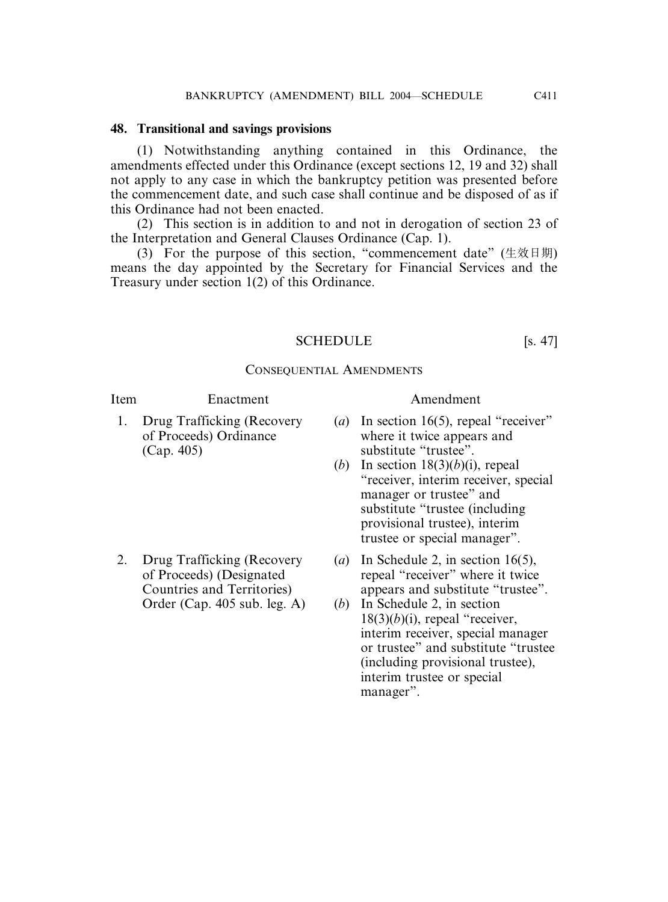# **48. Transitional and savings provisions**

(1) Notwithstanding anything contained in this Ordinance, the amendments effected under this Ordinance (except sections 12, 19 and 32) shall not apply to any case in which the bankruptcy petition was presented before the commencement date, and such case shall continue and be disposed of as if this Ordinance had not been enacted.

(2) This section is in addition to and not in derogation of section 23 of the Interpretation and General Clauses Ordinance (Cap. 1).

(3) For the purpose of this section, "commencement date" ( $\pm \dot{\varpi} \boxplus \boxplus$ ) means the day appointed by the Secretary for Financial Services and the Treasury under section 1(2) of this Ordinance.

# SCHEDULE [s. 47]

# CONSEQUENTIAL AMENDMENTS

# Item Enactment Amendment

(Cap. 405) substitute "trustee".

- 1. Drug Trafficking (Recovery (*a*) In section 16(5), repeal "receiver" of Proceeds) Ordinance where it twice appears and
	- (*b*) In section 18(3)(*b*)(i), repeal "receiver, interim receiver, special manager or trustee" and substitute "trustee (including provisional trustee), interim trustee or special manager".
- 2. Drug Trafficking (Recovery (*a*) In Schedule 2, in section 16(5), of Proceeds) (Designated repeal "receiver" where it twice Countries and Territories) appears and substitute "trustee".
	- Order (Cap. 405 sub. leg. A) (*b*) In Schedule 2, in section  $18(3)(b)(i)$ , repeal "receiver, interim receiver, special manager or trustee" and substitute "trustee (including provisional trustee), interim trustee or special manager".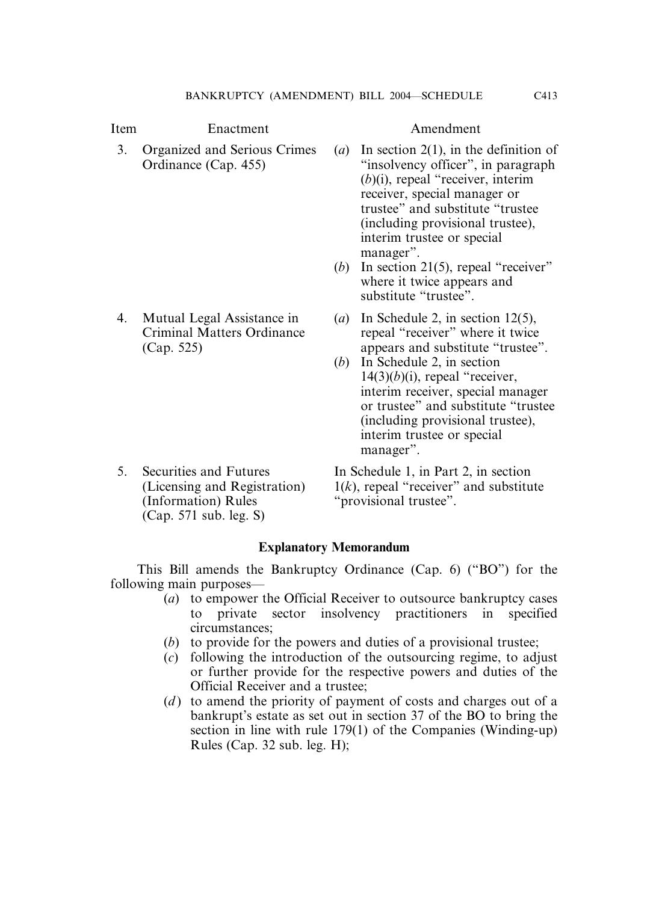# Item Enactment Amendment

- 3. Organized and Serious Crimes (*a*) In section 2(1), in the definition of Ordinance (Cap. 455) "insolvency officer", in paragraph (*b*)(i), repeal "receiver, interim receiver, special manager or trustee" and substitute "trustee (including provisional trustee), interim trustee or special manager".
	- (*b*) In section 21(5), repeal "receiver" where it twice appears and substitute "trustee".
- 4. Mutual Legal Assistance in (*a*) In Schedule 2, in section 12(5), Criminal Matters Ordinance repeal "receiver" where it twice (Cap. 525) appears and substitute "trustee".
	- (*b*) In Schedule 2, in section  $14(3)(b)(i)$ , repeal "receiver, interim receiver, special manager or trustee" and substitute "trustee (including provisional trustee), interim trustee or special manager".
- 5. Securities and Futures In Schedule 1, in Part 2, in section (Information) Rules "provisional trustee". (Cap. 571 sub. leg. S)

(Licensing and Registration)  $1(k)$ , repeal "receiver" and substitute

# **Explanatory Memorandum**

This Bill amends the Bankruptcy Ordinance (Cap. 6) ("BO") for the following main purposes—

- (*a*) to empower the Official Receiver to outsource bankruptcy cases to private sector insolvency practitioners in specified circumstances;
- (*b*) to provide for the powers and duties of a provisional trustee;
- (*c*) following the introduction of the outsourcing regime, to adjust or further provide for the respective powers and duties of the Official Receiver and a trustee;
- (*d*) to amend the priority of payment of costs and charges out of a bankrupt's estate as set out in section 37 of the BO to bring the section in line with rule 179(1) of the Companies (Winding-up) Rules (Cap. 32 sub. leg. H);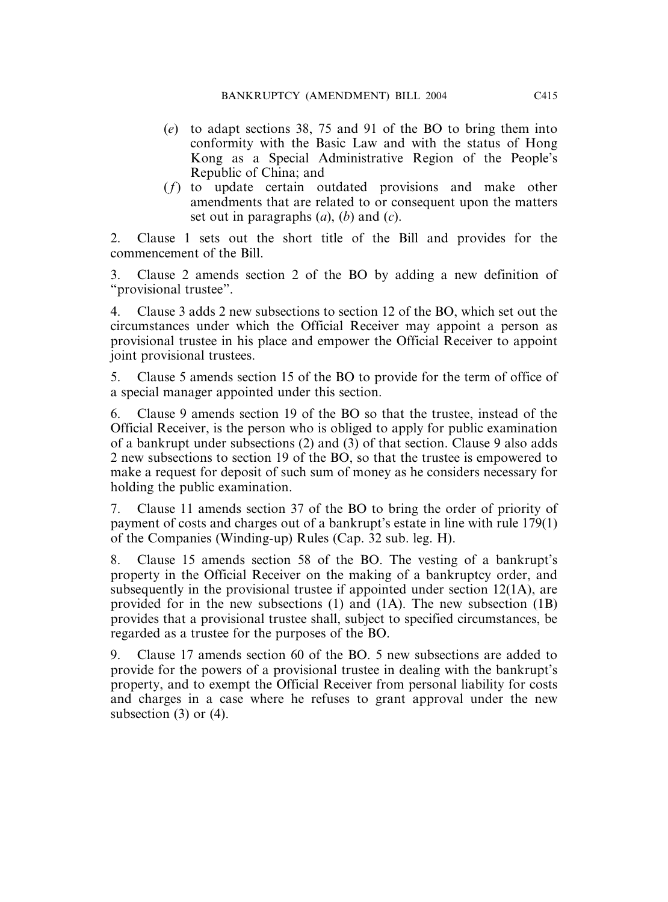- (*e*) to adapt sections 38, 75 and 91 of the BO to bring them into conformity with the Basic Law and with the status of Hong Kong as a Special Administrative Region of the People's Republic of China; and
- (*f*) to update certain outdated provisions and make other amendments that are related to or consequent upon the matters set out in paragraphs (*a*), (*b*) and (*c*).

2. Clause 1 sets out the short title of the Bill and provides for the commencement of the Bill.

3. Clause 2 amends section 2 of the BO by adding a new definition of "provisional trustee".

4. Clause 3 adds 2 new subsections to section 12 of the BO, which set out the circumstances under which the Official Receiver may appoint a person as provisional trustee in his place and empower the Official Receiver to appoint joint provisional trustees.

5. Clause 5 amends section 15 of the BO to provide for the term of office of a special manager appointed under this section.

6. Clause 9 amends section 19 of the BO so that the trustee, instead of the Official Receiver, is the person who is obliged to apply for public examination of a bankrupt under subsections (2) and (3) of that section. Clause 9 also adds 2 new subsections to section 19 of the BO, so that the trustee is empowered to make a request for deposit of such sum of money as he considers necessary for holding the public examination.

7. Clause 11 amends section 37 of the BO to bring the order of priority of payment of costs and charges out of a bankrupt's estate in line with rule 179(1) of the Companies (Winding-up) Rules (Cap. 32 sub. leg. H).

8. Clause 15 amends section 58 of the BO. The vesting of a bankrupt's property in the Official Receiver on the making of a bankruptcy order, and subsequently in the provisional trustee if appointed under section 12(1A), are provided for in the new subsections (1) and (1A). The new subsection (1B) provides that a provisional trustee shall, subject to specified circumstances, be regarded as a trustee for the purposes of the BO.

9. Clause 17 amends section 60 of the BO. 5 new subsections are added to provide for the powers of a provisional trustee in dealing with the bankrupt's property, and to exempt the Official Receiver from personal liability for costs and charges in a case where he refuses to grant approval under the new subsection  $(3)$  or  $(4)$ .